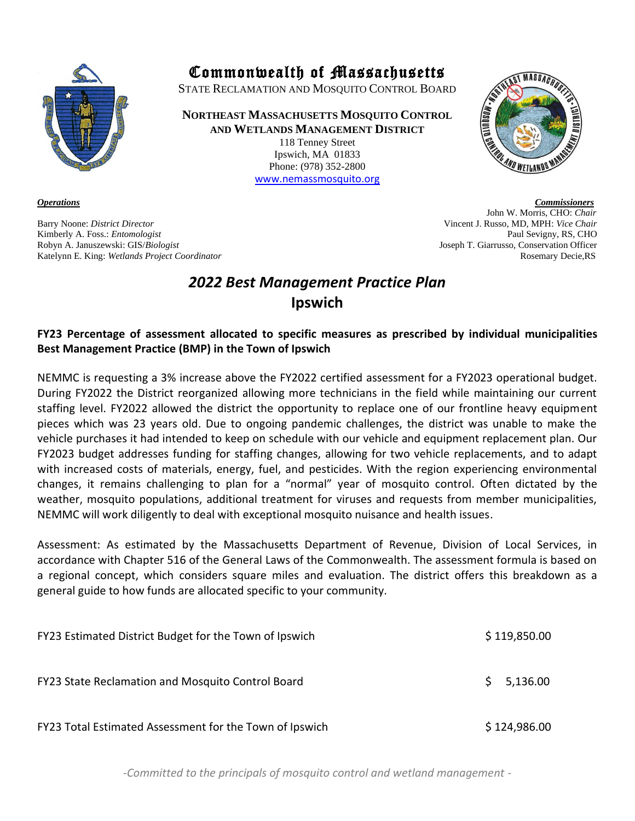

Barry Noone: *District Director* Vincent J. Russo, MD, MPH: *Vice Chair* Kimberly A. Foss.: *Entomologist* Paul Sevigny, RS, CHO Robyn A. Januszewski: GIS/*Biologist* Joseph T. Giarrusso, Conservation Officer Katelynn E. King: *Wetlands Project Coordinator* Rosemary Decie,RS

## Commonwealth of Massachusetts

STATE RECLAMATION AND MOSQUITO CONTROL BOARD

**NORTHEAST MASSACHUSETTS MOSQUITO CONTROL AND WETLANDS MANAGEMENT DISTRICT** 118 Tenney Street Ipswich, MA 01833

> Phone: (978) 352-2800 [www.nemassmosquito.org](http://www.nemassmosquito.org/)

*Operations Commissioners* John W. Morris, CHO: *Chair*

## *2022 Best Management Practice Plan* **Ipswich**

### **FY23 Percentage of assessment allocated to specific measures as prescribed by individual municipalities Best Management Practice (BMP) in the Town of Ipswich**

NEMMC is requesting a 3% increase above the FY2022 certified assessment for a FY2023 operational budget. During FY2022 the District reorganized allowing more technicians in the field while maintaining our current staffing level. FY2022 allowed the district the opportunity to replace one of our frontline heavy equipment pieces which was 23 years old. Due to ongoing pandemic challenges, the district was unable to make the vehicle purchases it had intended to keep on schedule with our vehicle and equipment replacement plan. Our FY2023 budget addresses funding for staffing changes, allowing for two vehicle replacements, and to adapt with increased costs of materials, energy, fuel, and pesticides. With the region experiencing environmental changes, it remains challenging to plan for a "normal" year of mosquito control. Often dictated by the weather, mosquito populations, additional treatment for viruses and requests from member municipalities, NEMMC will work diligently to deal with exceptional mosquito nuisance and health issues.

Assessment: As estimated by the Massachusetts Department of Revenue, Division of Local Services, in accordance with Chapter 516 of the General Laws of the Commonwealth. The assessment formula is based on a regional concept, which considers square miles and evaluation. The district offers this breakdown as a general guide to how funds are allocated specific to your community.

| FY23 Estimated District Budget for the Town of Ipswich  | \$119,850.00   |
|---------------------------------------------------------|----------------|
| FY23 State Reclamation and Mosquito Control Board       | 5,136.00<br>S. |
| FY23 Total Estimated Assessment for the Town of Ipswich | \$124,986.00   |

*-Committed to the principals of mosquito control and wetland management -*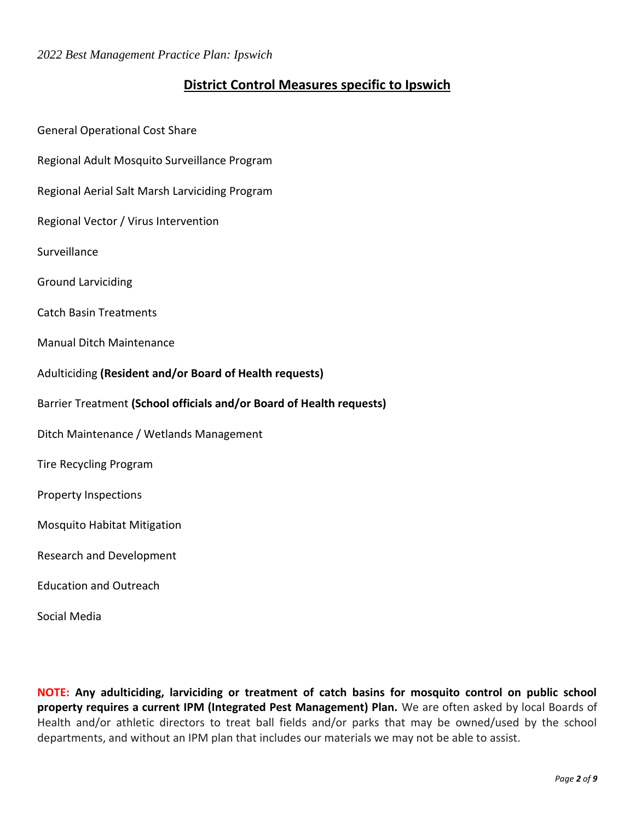### **District Control Measures specific to Ipswich**

General Operational Cost Share Regional Adult Mosquito Surveillance Program Regional Aerial Salt Marsh Larviciding Program Regional Vector / Virus Intervention **Surveillance** Ground Larviciding Catch Basin Treatments Manual Ditch Maintenance Adulticiding **(Resident and/or Board of Health requests)** Barrier Treatment **(School officials and/or Board of Health requests)** Ditch Maintenance / Wetlands Management Tire Recycling Program Property Inspections Mosquito Habitat Mitigation Research and Development Education and Outreach

Social Media

**NOTE: Any adulticiding, larviciding or treatment of catch basins for mosquito control on public school property requires a current IPM (Integrated Pest Management) Plan.** We are often asked by local Boards of Health and/or athletic directors to treat ball fields and/or parks that may be owned/used by the school departments, and without an IPM plan that includes our materials we may not be able to assist.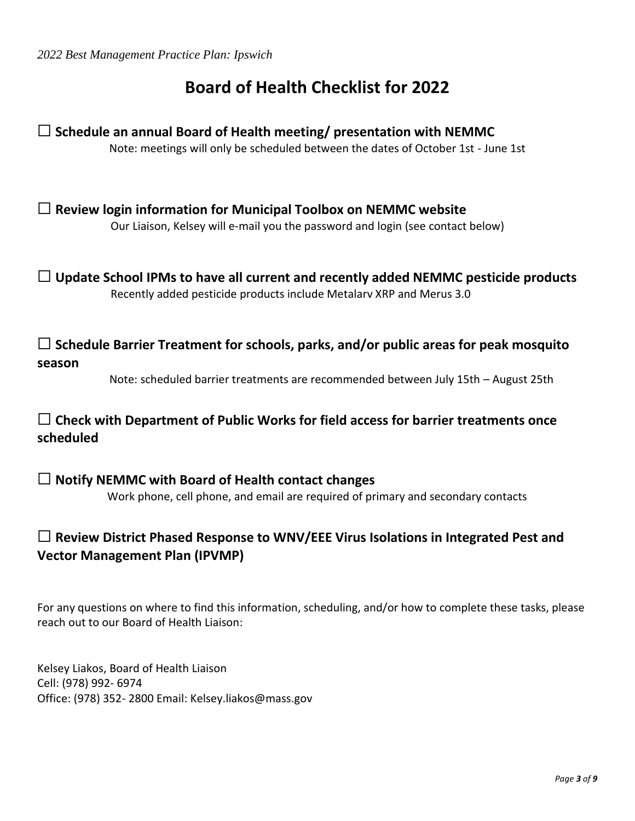# **Board of Health Checklist for 2022**

☐ **Schedule an annual Board of Health meeting/ presentation with NEMMC** Note: meetings will only be scheduled between the dates of October 1st - June 1st

☐ **Review login information for Municipal Toolbox on NEMMC website** Our Liaison, Kelsey will e-mail you the password and login (see contact below)

☐ **Update School IPMs to have all current and recently added NEMMC pesticide products** Recently added pesticide products include Metalarv XRP and Merus 3.0

☐ **Schedule Barrier Treatment for schools, parks, and/or public areas for peak mosquito season**

Note: scheduled barrier treatments are recommended between July 15th – August 25th

### ☐ **Check with Department of Public Works for field access for barrier treatments once scheduled**

☐ **Notify NEMMC with Board of Health contact changes** Work phone, cell phone, and email are required of primary and secondary contacts

### ☐ **Review District Phased Response to WNV/EEE Virus Isolations in Integrated Pest and Vector Management Plan (IPVMP)**

For any questions on where to find this information, scheduling, and/or how to complete these tasks, please reach out to our Board of Health Liaison:

Kelsey Liakos, Board of Health Liaison Cell: (978) 992- 6974 Office: (978) 352- 2800 Email: Kelsey.liakos@mass.gov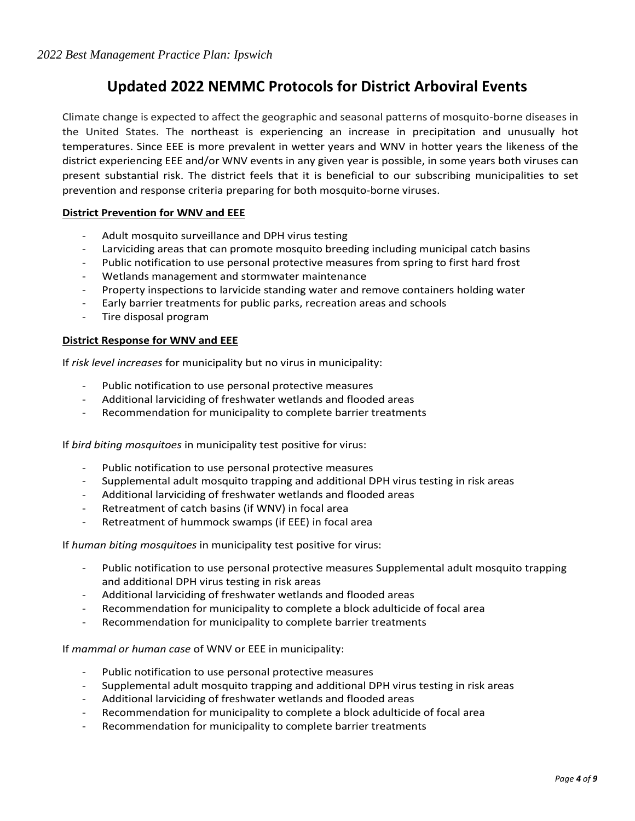## **Updated 2022 NEMMC Protocols for District Arboviral Events**

Climate change is expected to affect the geographic and seasonal patterns of mosquito-borne diseases in the United States. The northeast is experiencing an increase in precipitation and unusually hot temperatures. Since EEE is more prevalent in wetter years and WNV in hotter years the likeness of the district experiencing EEE and/or WNV events in any given year is possible, in some years both viruses can present substantial risk. The district feels that it is beneficial to our subscribing municipalities to set prevention and response criteria preparing for both mosquito-borne viruses.

#### **District Prevention for WNV and EEE**

- Adult mosquito surveillance and DPH virus testing
- Larviciding areas that can promote mosquito breeding including municipal catch basins
- Public notification to use personal protective measures from spring to first hard frost
- Wetlands management and stormwater maintenance
- Property inspections to larvicide standing water and remove containers holding water
- Early barrier treatments for public parks, recreation areas and schools
- Tire disposal program

#### **District Response for WNV and EEE**

If *risk level increases* for municipality but no virus in municipality:

- Public notification to use personal protective measures
- Additional larviciding of freshwater wetlands and flooded areas
- Recommendation for municipality to complete barrier treatments

If *bird biting mosquitoes* in municipality test positive for virus:

- Public notification to use personal protective measures
- Supplemental adult mosquito trapping and additional DPH virus testing in risk areas
- Additional larviciding of freshwater wetlands and flooded areas
- Retreatment of catch basins (if WNV) in focal area
- Retreatment of hummock swamps (if EEE) in focal area

If *human biting mosquitoes* in municipality test positive for virus:

- Public notification to use personal protective measures Supplemental adult mosquito trapping and additional DPH virus testing in risk areas
- Additional larviciding of freshwater wetlands and flooded areas
- Recommendation for municipality to complete a block adulticide of focal area
- Recommendation for municipality to complete barrier treatments

If *mammal or human case* of WNV or EEE in municipality:

- Public notification to use personal protective measures
- Supplemental adult mosquito trapping and additional DPH virus testing in risk areas
- Additional larviciding of freshwater wetlands and flooded areas
- Recommendation for municipality to complete a block adulticide of focal area
- Recommendation for municipality to complete barrier treatments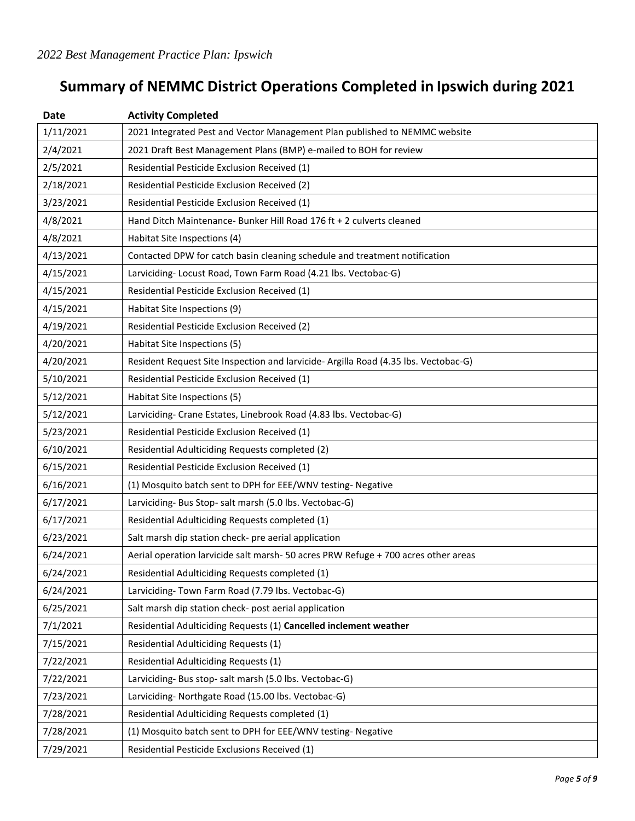# **Summary of NEMMC District Operations Completed in Ipswich during 2021**

| <b>Date</b> | <b>Activity Completed</b>                                                          |
|-------------|------------------------------------------------------------------------------------|
| 1/11/2021   | 2021 Integrated Pest and Vector Management Plan published to NEMMC website         |
| 2/4/2021    | 2021 Draft Best Management Plans (BMP) e-mailed to BOH for review                  |
| 2/5/2021    | Residential Pesticide Exclusion Received (1)                                       |
| 2/18/2021   | Residential Pesticide Exclusion Received (2)                                       |
| 3/23/2021   | Residential Pesticide Exclusion Received (1)                                       |
| 4/8/2021    | Hand Ditch Maintenance- Bunker Hill Road 176 ft + 2 culverts cleaned               |
| 4/8/2021    | Habitat Site Inspections (4)                                                       |
| 4/13/2021   | Contacted DPW for catch basin cleaning schedule and treatment notification         |
| 4/15/2021   | Larviciding-Locust Road, Town Farm Road (4.21 lbs. Vectobac-G)                     |
| 4/15/2021   | Residential Pesticide Exclusion Received (1)                                       |
| 4/15/2021   | Habitat Site Inspections (9)                                                       |
| 4/19/2021   | Residential Pesticide Exclusion Received (2)                                       |
| 4/20/2021   | Habitat Site Inspections (5)                                                       |
| 4/20/2021   | Resident Request Site Inspection and larvicide-Argilla Road (4.35 lbs. Vectobac-G) |
| 5/10/2021   | Residential Pesticide Exclusion Received (1)                                       |
| 5/12/2021   | Habitat Site Inspections (5)                                                       |
| 5/12/2021   | Larviciding- Crane Estates, Linebrook Road (4.83 lbs. Vectobac-G)                  |
| 5/23/2021   | Residential Pesticide Exclusion Received (1)                                       |
| 6/10/2021   | Residential Adulticiding Requests completed (2)                                    |
| 6/15/2021   | Residential Pesticide Exclusion Received (1)                                       |
| 6/16/2021   | (1) Mosquito batch sent to DPH for EEE/WNV testing- Negative                       |
| 6/17/2021   | Larviciding- Bus Stop- salt marsh (5.0 lbs. Vectobac-G)                            |
| 6/17/2021   | Residential Adulticiding Requests completed (1)                                    |
| 6/23/2021   | Salt marsh dip station check- pre aerial application                               |
| 6/24/2021   | Aerial operation larvicide salt marsh-50 acres PRW Refuge + 700 acres other areas  |
| 6/24/2021   | Residential Adulticiding Requests completed (1)                                    |
| 6/24/2021   | Larviciding-Town Farm Road (7.79 lbs. Vectobac-G)                                  |
| 6/25/2021   | Salt marsh dip station check- post aerial application                              |
| 7/1/2021    | Residential Adulticiding Requests (1) Cancelled inclement weather                  |
| 7/15/2021   | Residential Adulticiding Requests (1)                                              |
| 7/22/2021   | Residential Adulticiding Requests (1)                                              |
| 7/22/2021   | Larviciding-Bus stop-salt marsh (5.0 lbs. Vectobac-G)                              |
| 7/23/2021   | Larviciding-Northgate Road (15.00 lbs. Vectobac-G)                                 |
| 7/28/2021   | Residential Adulticiding Requests completed (1)                                    |
| 7/28/2021   | (1) Mosquito batch sent to DPH for EEE/WNV testing- Negative                       |
| 7/29/2021   | Residential Pesticide Exclusions Received (1)                                      |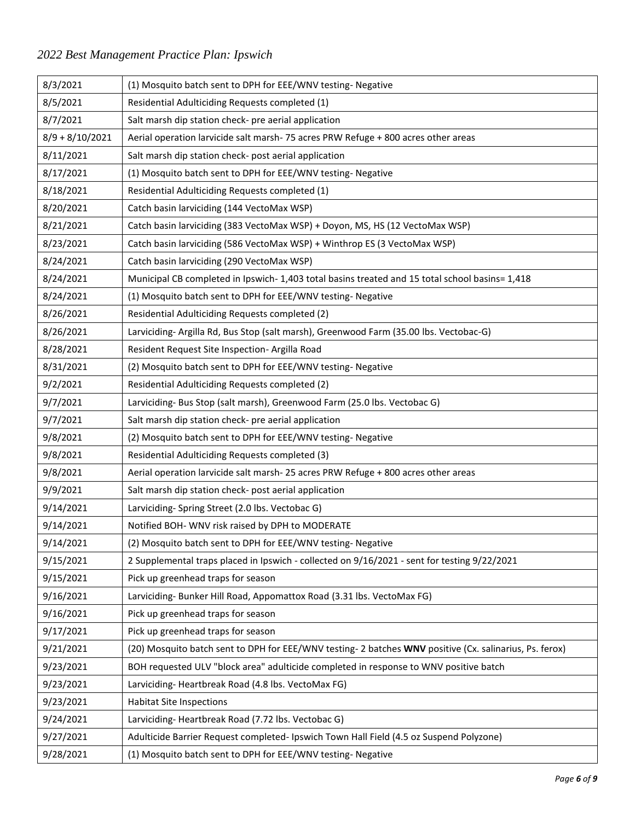## *2022 Best Management Practice Plan: Ipswich*

| 8/3/2021          | (1) Mosquito batch sent to DPH for EEE/WNV testing- Negative                                            |
|-------------------|---------------------------------------------------------------------------------------------------------|
| 8/5/2021          | Residential Adulticiding Requests completed (1)                                                         |
| 8/7/2021          | Salt marsh dip station check- pre aerial application                                                    |
| $8/9 + 8/10/2021$ | Aerial operation larvicide salt marsh-75 acres PRW Refuge + 800 acres other areas                       |
| 8/11/2021         | Salt marsh dip station check- post aerial application                                                   |
| 8/17/2021         | (1) Mosquito batch sent to DPH for EEE/WNV testing- Negative                                            |
| 8/18/2021         | Residential Adulticiding Requests completed (1)                                                         |
| 8/20/2021         | Catch basin larviciding (144 VectoMax WSP)                                                              |
| 8/21/2021         | Catch basin larviciding (383 VectoMax WSP) + Doyon, MS, HS (12 VectoMax WSP)                            |
| 8/23/2021         | Catch basin larviciding (586 VectoMax WSP) + Winthrop ES (3 VectoMax WSP)                               |
| 8/24/2021         | Catch basin larviciding (290 VectoMax WSP)                                                              |
| 8/24/2021         | Municipal CB completed in Ipswich-1,403 total basins treated and 15 total school basins=1,418           |
| 8/24/2021         | (1) Mosquito batch sent to DPH for EEE/WNV testing- Negative                                            |
| 8/26/2021         | Residential Adulticiding Requests completed (2)                                                         |
| 8/26/2021         | Larviciding- Argilla Rd, Bus Stop (salt marsh), Greenwood Farm (35.00 lbs. Vectobac-G)                  |
| 8/28/2021         | Resident Request Site Inspection- Argilla Road                                                          |
| 8/31/2021         | (2) Mosquito batch sent to DPH for EEE/WNV testing- Negative                                            |
| 9/2/2021          | Residential Adulticiding Requests completed (2)                                                         |
| 9/7/2021          | Larviciding- Bus Stop (salt marsh), Greenwood Farm (25.0 lbs. Vectobac G)                               |
| 9/7/2021          | Salt marsh dip station check- pre aerial application                                                    |
| 9/8/2021          | (2) Mosquito batch sent to DPH for EEE/WNV testing- Negative                                            |
| 9/8/2021          | Residential Adulticiding Requests completed (3)                                                         |
| 9/8/2021          | Aerial operation larvicide salt marsh-25 acres PRW Refuge + 800 acres other areas                       |
| 9/9/2021          | Salt marsh dip station check- post aerial application                                                   |
| 9/14/2021         | Larviciding-Spring Street (2.0 lbs. Vectobac G)                                                         |
| 9/14/2021         | Notified BOH- WNV risk raised by DPH to MODERATE                                                        |
| 9/14/2021         | (2) Mosquito batch sent to DPH for EEE/WNV testing- Negative                                            |
| 9/15/2021         | 2 Supplemental traps placed in Ipswich - collected on 9/16/2021 - sent for testing 9/22/2021            |
| 9/15/2021         | Pick up greenhead traps for season                                                                      |
| 9/16/2021         | Larviciding-Bunker Hill Road, Appomattox Road (3.31 lbs. VectoMax FG)                                   |
| 9/16/2021         | Pick up greenhead traps for season                                                                      |
| 9/17/2021         | Pick up greenhead traps for season                                                                      |
| 9/21/2021         | (20) Mosquito batch sent to DPH for EEE/WNV testing- 2 batches WNV positive (Cx. salinarius, Ps. ferox) |
| 9/23/2021         | BOH requested ULV "block area" adulticide completed in response to WNV positive batch                   |
| 9/23/2021         | Larviciding-Heartbreak Road (4.8 lbs. VectoMax FG)                                                      |
| 9/23/2021         | <b>Habitat Site Inspections</b>                                                                         |
| 9/24/2021         | Larviciding-Heartbreak Road (7.72 lbs. Vectobac G)                                                      |
| 9/27/2021         | Adulticide Barrier Request completed- Ipswich Town Hall Field (4.5 oz Suspend Polyzone)                 |
| 9/28/2021         | (1) Mosquito batch sent to DPH for EEE/WNV testing- Negative                                            |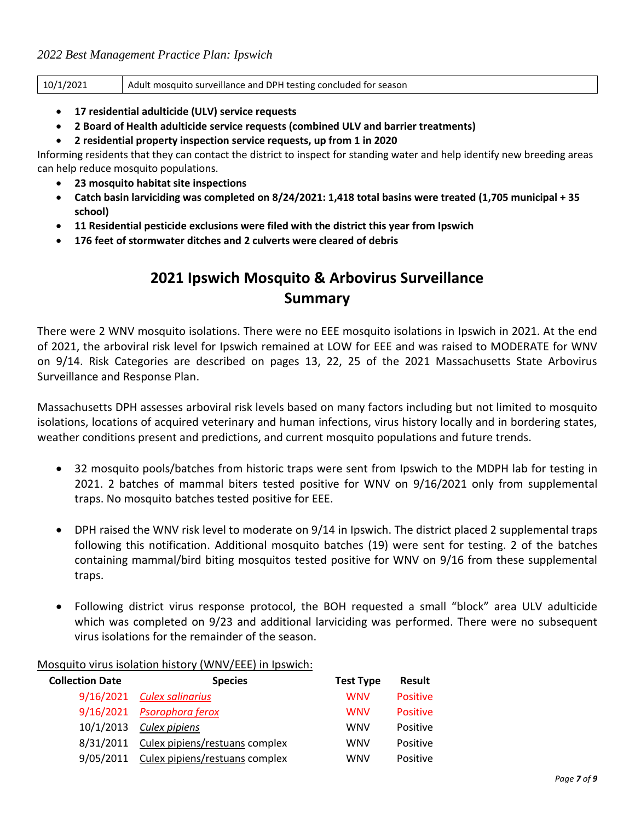| 10/1/2021 | Adult mosquito surveillance and DPH testing concluded for season |
|-----------|------------------------------------------------------------------|
|-----------|------------------------------------------------------------------|

- **17 residential adulticide (ULV) service requests**
- **2 Board of Health adulticide service requests (combined ULV and barrier treatments)**
- **2 residential property inspection service requests, up from 1 in 2020**

Informing residents that they can contact the district to inspect for standing water and help identify new breeding areas can help reduce mosquito populations.

- **23 mosquito habitat site inspections**
- **Catch basin larviciding was completed on 8/24/2021: 1,418 total basins were treated (1,705 municipal + 35 school)**
- **11 Residential pesticide exclusions were filed with the district this year from Ipswich**
- **176 feet of stormwater ditches and 2 culverts were cleared of debris**

## **2021 Ipswich Mosquito & Arbovirus Surveillance Summary**

There were 2 WNV mosquito isolations. There were no EEE mosquito isolations in Ipswich in 2021. At the end of 2021, the arboviral risk level for Ipswich remained at LOW for EEE and was raised to MODERATE for WNV on 9/14. Risk Categories are described on pages 13, 22, 25 of the 2021 Massachusetts State Arbovirus Surveillance and Response Plan.

Massachusetts DPH assesses arboviral risk levels based on many factors including but not limited to mosquito isolations, locations of acquired veterinary and human infections, virus history locally and in bordering states, weather conditions present and predictions, and current mosquito populations and future trends.

- 32 mosquito pools/batches from historic traps were sent from Ipswich to the MDPH lab for testing in 2021. 2 batches of mammal biters tested positive for WNV on 9/16/2021 only from supplemental traps. No mosquito batches tested positive for EEE.
- DPH raised the WNV risk level to moderate on 9/14 in Ipswich. The district placed 2 supplemental traps following this notification. Additional mosquito batches (19) were sent for testing. 2 of the batches containing mammal/bird biting mosquitos tested positive for WNV on 9/16 from these supplemental traps.
- Following district virus response protocol, the BOH requested a small "block" area ULV adulticide which was completed on 9/23 and additional larviciding was performed. There were no subsequent virus isolations for the remainder of the season.

| <b>Collection Date</b> | <b>Species</b>                 | <b>Test Type</b> | <b>Result</b>   |
|------------------------|--------------------------------|------------------|-----------------|
| 9/16/2021              | <b>Culex salinarius</b>        | <b>WNV</b>       | <b>Positive</b> |
| 9/16/2021              | Psorophora ferox               | <b>WNV</b>       | <b>Positive</b> |
| 10/1/2013              | Culex pipiens                  | <b>WNV</b>       | Positive        |
| 8/31/2011              | Culex pipiens/restuans complex | <b>WNV</b>       | Positive        |
| 9/05/2011              | Culex pipiens/restuans complex | <b>WNV</b>       | Positive        |

#### Mosquito virus isolation history (WNV/EEE) in Ipswich: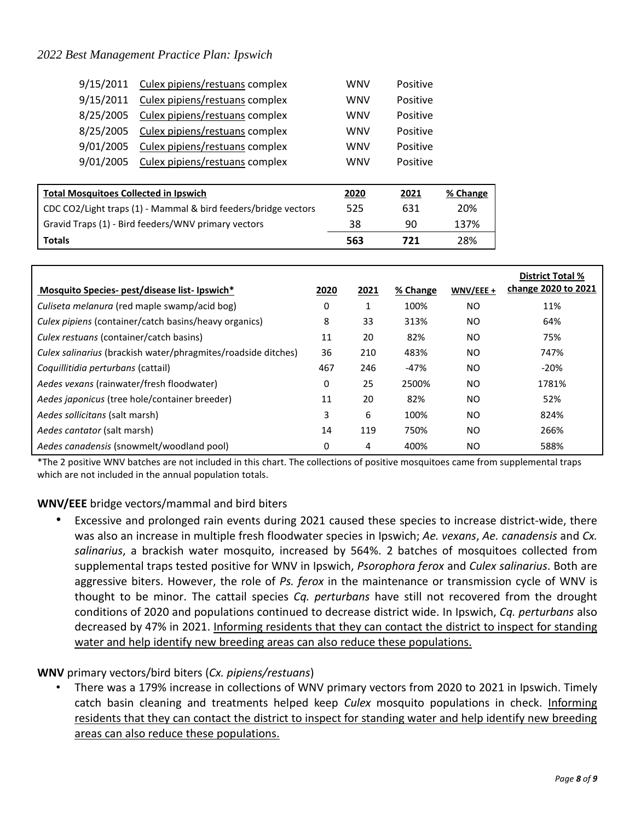#### *2022 Best Management Practice Plan: Ipswich*

| <b>Totals</b>                                       |                                                                | 563        | 721                    | 28%      |
|-----------------------------------------------------|----------------------------------------------------------------|------------|------------------------|----------|
| Gravid Traps (1) - Bird feeders/WNV primary vectors |                                                                | 38         | 90                     | 137%     |
|                                                     | CDC CO2/Light traps (1) - Mammal & bird feeders/bridge vectors | 525        | 631                    | 20%      |
| <b>Total Mosquitoes Collected in Ipswich</b>        |                                                                | 2020       | 2021                   | % Change |
|                                                     | 9/01/2005 Culex pipiens/restuans complex                       | <b>WNV</b> | Positive               |          |
|                                                     |                                                                |            |                        |          |
| 9/01/2005                                           | Culex pipiens/restuans complex<br><b>WNV</b><br>Positive       |            |                        |          |
| 8/25/2005                                           | Culex pipiens/restuans complex                                 | <b>WNV</b> | Positive               |          |
| 8/25/2005                                           | Culex pipiens/restuans complex                                 | <b>WNV</b> | Positive               |          |
|                                                     | Culex pipiens/restuans complex<br>9/15/2011                    |            | <b>WNV</b><br>Positive |          |
| 9/15/2011 Culex pipiens/restuans complex            |                                                                | <b>WNV</b> | Positive               |          |

|                                                               |      |      |          |           | <b>District Total %</b><br>change 2020 to 2021 |
|---------------------------------------------------------------|------|------|----------|-----------|------------------------------------------------|
| Mosquito Species- pest/disease list-lpswich*                  | 2020 | 2021 | % Change | WNV/EEE + |                                                |
| Culiseta melanura (red maple swamp/acid bog)                  | 0    |      | 100%     | <b>NO</b> | 11%                                            |
| Culex pipiens (container/catch basins/heavy organics)         | 8    | 33   | 313%     | <b>NO</b> | 64%                                            |
| Culex restuans (container/catch basins)                       | 11   | 20   | 82%      | <b>NO</b> | 75%                                            |
| Culex salinarius (brackish water/phragmites/roadside ditches) | 36   | 210  | 483%     | <b>NO</b> | 747%                                           |
| Coquillitidia perturbans (cattail)                            | 467  | 246  | $-47%$   | <b>NO</b> | $-20%$                                         |
| Aedes vexans (rainwater/fresh floodwater)                     | 0    | 25   | 2500%    | <b>NO</b> | 1781%                                          |
| Aedes japonicus (tree hole/container breeder)                 | 11   | 20   | 82%      | <b>NO</b> | 52%                                            |
| Aedes sollicitans (salt marsh)                                | 3    | 6    | 100%     | <b>NO</b> | 824%                                           |
| Aedes cantator (salt marsh)                                   | 14   | 119  | 750%     | <b>NO</b> | 266%                                           |
| Aedes canadensis (snowmelt/woodland pool)                     | 0    | 4    | 400%     | NO.       | 588%                                           |

\*The 2 positive WNV batches are not included in this chart. The collections of positive mosquitoes came from supplemental traps which are not included in the annual population totals.

**WNV/EEE** bridge vectors/mammal and bird biters

• Excessive and prolonged rain events during 2021 caused these species to increase district-wide, there was also an increase in multiple fresh floodwater species in Ipswich; *Ae. vexans*, *Ae. canadensis* and *Cx. salinarius*, a brackish water mosquito, increased by 564%. 2 batches of mosquitoes collected from supplemental traps tested positive for WNV in Ipswich, *Psorophora ferox* and *Culex salinarius*. Both are aggressive biters. However, the role of *Ps. ferox* in the maintenance or transmission cycle of WNV is thought to be minor. The cattail species *Cq. perturbans* have still not recovered from the drought conditions of 2020 and populations continued to decrease district wide. In Ipswich, *Cq. perturbans* also decreased by 47% in 2021. Informing residents that they can contact the district to inspect for standing water and help identify new breeding areas can also reduce these populations.

#### **WNV** primary vectors/bird biters (*Cx. pipiens/restuans*)

• There was a 179% increase in collections of WNV primary vectors from 2020 to 2021 in Ipswich. Timely catch basin cleaning and treatments helped keep *Culex* mosquito populations in check. Informing residents that they can contact the district to inspect for standing water and help identify new breeding areas can also reduce these populations.